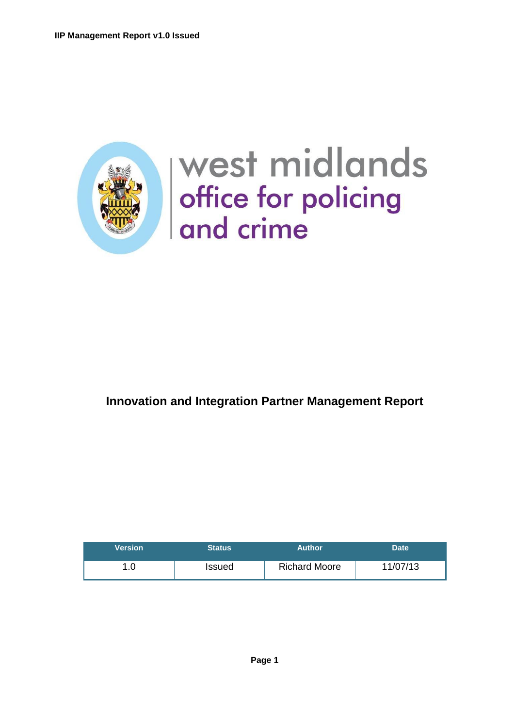

# west midlands office for policing<br>and crime

# **Innovation and Integration Partner Management Report**

| <b>Version</b> | <b>Status</b> | Author               | <b>Date</b> |
|----------------|---------------|----------------------|-------------|
| .∪             | Issued        | <b>Richard Moore</b> | 11/07/13    |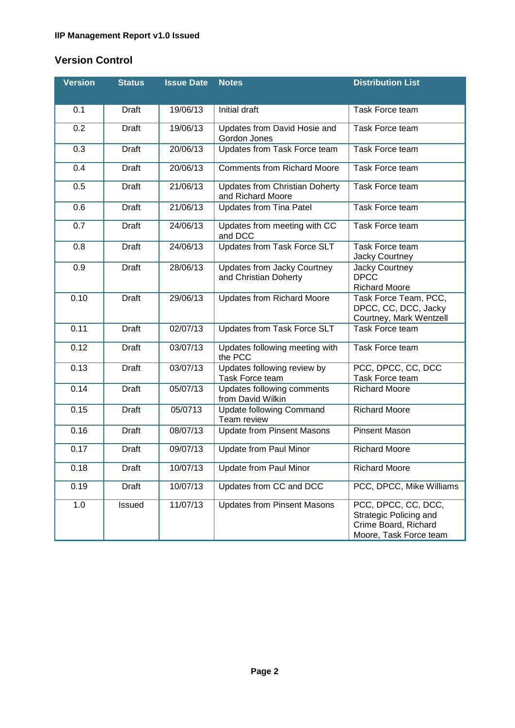# **Version Control**

| <b>Version</b> | <b>Status</b> | <b>Issue Date</b> | <b>Notes</b>                                               | <b>Distribution List</b>                                                                        |
|----------------|---------------|-------------------|------------------------------------------------------------|-------------------------------------------------------------------------------------------------|
|                |               |                   |                                                            |                                                                                                 |
| 0.1            | Draft         | 19/06/13          | Initial draft                                              | <b>Task Force team</b>                                                                          |
| 0.2            | <b>Draft</b>  | 19/06/13          | Updates from David Hosie and<br>Gordon Jones               | Task Force team                                                                                 |
| 0.3            | <b>Draft</b>  | 20/06/13          | Updates from Task Force team                               | Task Force team                                                                                 |
| 0.4            | <b>Draft</b>  | 20/06/13          | <b>Comments from Richard Moore</b>                         | <b>Task Force team</b>                                                                          |
| 0.5            | <b>Draft</b>  | 21/06/13          | <b>Updates from Christian Doherty</b><br>and Richard Moore | Task Force team                                                                                 |
| 0.6            | <b>Draft</b>  | 21/06/13          | <b>Updates from Tina Patel</b>                             | Task Force team                                                                                 |
| 0.7            | <b>Draft</b>  | 24/06/13          | Updates from meeting with CC<br>and DCC                    | Task Force team                                                                                 |
| 0.8            | <b>Draft</b>  | 24/06/13          | Updates from Task Force SLT                                | Task Force team<br>Jacky Courtney                                                               |
| 0.9            | <b>Draft</b>  | 28/06/13          | Updates from Jacky Courtney<br>and Christian Doherty       | Jacky Courtney<br><b>DPCC</b><br><b>Richard Moore</b>                                           |
| 0.10           | <b>Draft</b>  | 29/06/13          | <b>Updates from Richard Moore</b>                          | Task Force Team, PCC,<br>DPCC, CC, DCC, Jacky<br>Courtney, Mark Wentzell                        |
| 0.11           | Draft         | 02/07/13          | Updates from Task Force SLT                                | Task Force team                                                                                 |
| 0.12           | <b>Draft</b>  | 03/07/13          | Updates following meeting with<br>the PCC                  | Task Force team                                                                                 |
| 0.13           | <b>Draft</b>  | 03/07/13          | Updates following review by<br>Task Force team             | PCC, DPCC, CC, DCC<br>Task Force team                                                           |
| 0.14           | <b>Draft</b>  | 05/07/13          | Updates following comments<br>from David Wilkin            | <b>Richard Moore</b>                                                                            |
| 0.15           | <b>Draft</b>  | 05/0713           | <b>Update following Command</b><br>Team review             | <b>Richard Moore</b>                                                                            |
| 0.16           | <b>Draft</b>  | 08/07/13          | <b>Update from Pinsent Masons</b>                          | <b>Pinsent Mason</b>                                                                            |
| 0.17           | <b>Draft</b>  | 09/07/13          | <b>Update from Paul Minor</b>                              | <b>Richard Moore</b>                                                                            |
| 0.18           | <b>Draft</b>  | 10/07/13          | <b>Update from Paul Minor</b>                              | Richard Moore                                                                                   |
| 0.19           | <b>Draft</b>  | 10/07/13          | Updates from CC and DCC                                    | PCC, DPCC, Mike Williams                                                                        |
| 1.0            | Issued        | 11/07/13          | <b>Updates from Pinsent Masons</b>                         | PCC, DPCC, CC, DCC,<br>Strategic Policing and<br>Crime Board, Richard<br>Moore, Task Force team |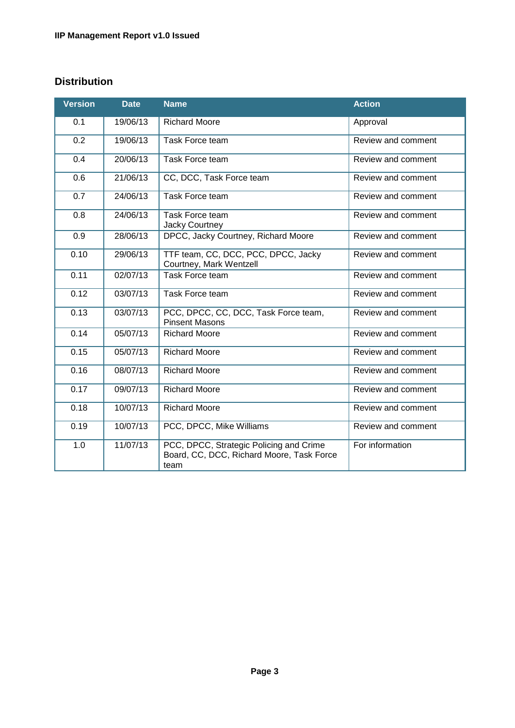# **Distribution**

| <b>Version</b> | <b>Date</b>           | <b>Name</b>                                                                                  | <b>Action</b>      |
|----------------|-----------------------|----------------------------------------------------------------------------------------------|--------------------|
| 0.1            | 19/06/13              | <b>Richard Moore</b>                                                                         | Approval           |
| 0.2            | 19/06/13              | <b>Task Force team</b>                                                                       | Review and comment |
| 0.4            | 20/06/13              | Task Force team                                                                              | Review and comment |
| 0.6            | 21/06/13              | CC, DCC, Task Force team                                                                     | Review and comment |
| 0.7            | 24/06/13              | Task Force team                                                                              | Review and comment |
| 0.8            | 24/06/13              | <b>Task Force team</b><br>Jacky Courtney                                                     | Review and comment |
| 0.9            | 28/06/13              | DPCC, Jacky Courtney, Richard Moore                                                          | Review and comment |
| 0.10           | 29/06/13              | TTF team, CC, DCC, PCC, DPCC, Jacky<br>Courtney, Mark Wentzell                               | Review and comment |
| 0.11           | 02/07/13              | Task Force team                                                                              | Review and comment |
| 0.12           | 03/07/13              | <b>Task Force team</b>                                                                       | Review and comment |
| 0.13           | 03/07/13              | PCC, DPCC, CC, DCC, Task Force team,<br><b>Pinsent Masons</b>                                | Review and comment |
| 0.14           | $\overline{05/07/13}$ | <b>Richard Moore</b>                                                                         | Review and comment |
| 0.15           | 05/07/13              | <b>Richard Moore</b>                                                                         | Review and comment |
| 0.16           | 08/07/13              | <b>Richard Moore</b>                                                                         | Review and comment |
| 0.17           | 09/07/13              | <b>Richard Moore</b>                                                                         | Review and comment |
| 0.18           | 10/07/13              | <b>Richard Moore</b>                                                                         | Review and comment |
| 0.19           | 10/07/13              | PCC, DPCC, Mike Williams                                                                     | Review and comment |
| 1.0            | 11/07/13              | PCC, DPCC, Strategic Policing and Crime<br>Board, CC, DCC, Richard Moore, Task Force<br>team | For information    |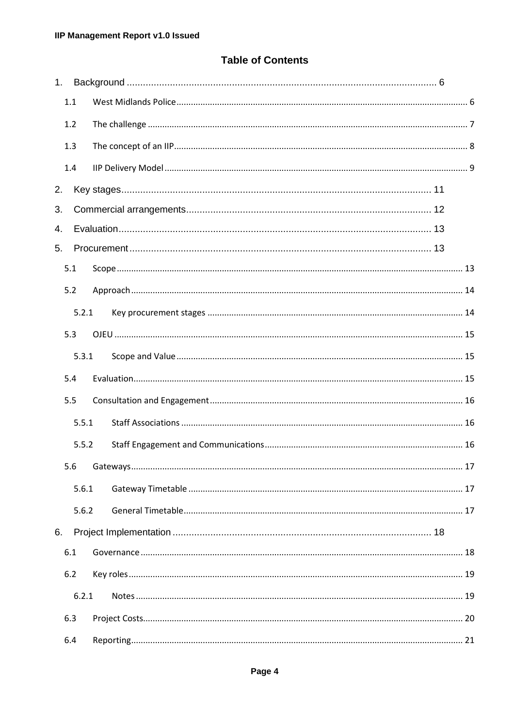# **Table of Contents**

| 1. |       |  |  |  |
|----|-------|--|--|--|
|    | 1.1   |  |  |  |
|    | 1.2   |  |  |  |
|    | 1.3   |  |  |  |
|    | 1.4   |  |  |  |
| 2. |       |  |  |  |
| 3. |       |  |  |  |
| 4. |       |  |  |  |
| 5. |       |  |  |  |
|    | 5.1   |  |  |  |
|    | 5.2   |  |  |  |
|    | 5.2.1 |  |  |  |
|    | 5.3   |  |  |  |
|    | 5.3.1 |  |  |  |
|    | 5.4   |  |  |  |
|    | 5.5   |  |  |  |
|    | 5.5.1 |  |  |  |
|    | 5.5.2 |  |  |  |
|    |       |  |  |  |
|    | 5.6.1 |  |  |  |
|    | 5.6.2 |  |  |  |
| 6. |       |  |  |  |
|    | 6.1   |  |  |  |
|    | 6.2   |  |  |  |
|    | 6.2.1 |  |  |  |
|    | 6.3   |  |  |  |
|    | 6.4   |  |  |  |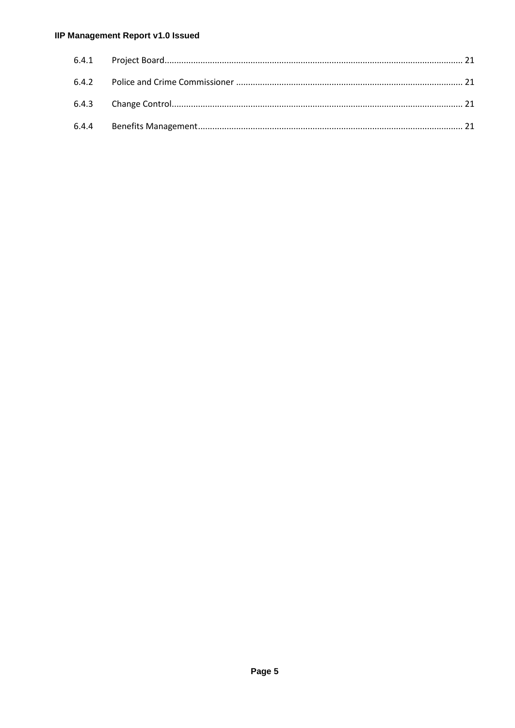## **IIP Management Report v1.0 Issued**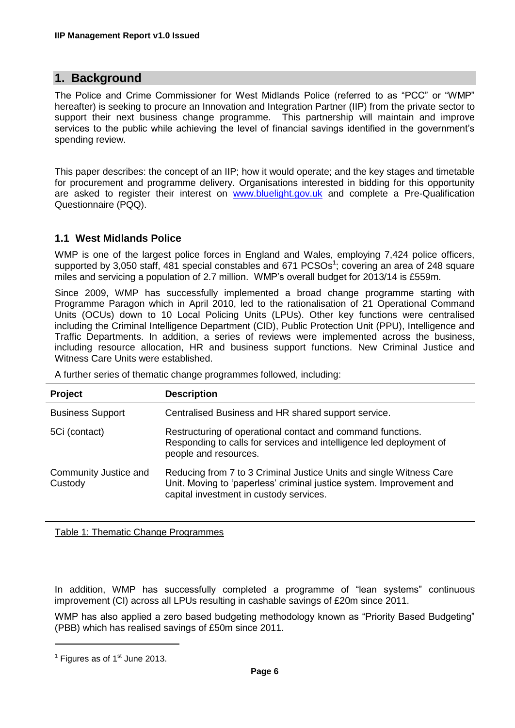# <span id="page-5-0"></span>**1. Background**

The Police and Crime Commissioner for West Midlands Police (referred to as "PCC" or "WMP" hereafter) is seeking to procure an Innovation and Integration Partner (IIP) from the private sector to support their next business change programme. This partnership will maintain and improve services to the public while achieving the level of financial savings identified in the government's spending review.

This paper describes: the concept of an IIP; how it would operate; and the key stages and timetable for procurement and programme delivery. Organisations interested in bidding for this opportunity are asked to register their interest on [www.bluelight.gov.uk](http://www.bluelight.gov.uk/) and complete a Pre-Qualification Questionnaire (PQQ).

#### <span id="page-5-1"></span>**1.1 West Midlands Police**

WMP is one of the largest police forces in England and Wales, employing 7,424 police officers, supported by 3,050 staff, 481 special constables and 671  $PCSOs<sup>1</sup>$ ; covering an area of 248 square miles and servicing a population of 2.7 million. WMP's overall budget for 2013/14 is £559m.

Since 2009, WMP has successfully implemented a broad change programme starting with Programme Paragon which in April 2010, led to the rationalisation of 21 Operational Command Units (OCUs) down to 10 Local Policing Units (LPUs). Other key functions were centralised including the Criminal Intelligence Department (CID), Public Protection Unit (PPU), Intelligence and Traffic Departments. In addition, a series of reviews were implemented across the business, including resource allocation, HR and business support functions. New Criminal Justice and Witness Care Units were established.

A further series of thematic change programmes followed, including:

| <b>Project</b>                   | <b>Description</b>                                                                                                                                                                     |
|----------------------------------|----------------------------------------------------------------------------------------------------------------------------------------------------------------------------------------|
| <b>Business Support</b>          | Centralised Business and HR shared support service.                                                                                                                                    |
| 5Ci (contact)                    | Restructuring of operational contact and command functions.<br>Responding to calls for services and intelligence led deployment of<br>people and resources.                            |
| Community Justice and<br>Custody | Reducing from 7 to 3 Criminal Justice Units and single Witness Care<br>Unit. Moving to 'paperless' criminal justice system. Improvement and<br>capital investment in custody services. |

Table 1: Thematic Change Programmes

In addition, WMP has successfully completed a programme of "lean systems" continuous improvement (CI) across all LPUs resulting in cashable savings of £20m since 2011.

WMP has also applied a zero based budgeting methodology known as "Priority Based Budgeting" (PBB) which has realised savings of £50m since 2011.

**.** 

 $<sup>1</sup>$  Figures as of 1 $<sup>st</sup>$  June 2013.</sup></sup>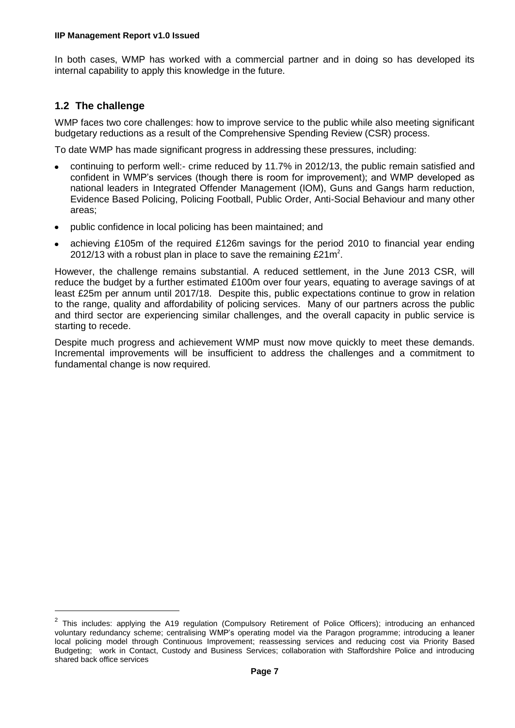In both cases, WMP has worked with a commercial partner and in doing so has developed its internal capability to apply this knowledge in the future.

# <span id="page-6-0"></span>**1.2 The challenge**

**.** 

WMP faces two core challenges: how to improve service to the public while also meeting significant budgetary reductions as a result of the Comprehensive Spending Review (CSR) process.

To date WMP has made significant progress in addressing these pressures, including:

- continuing to perform well:- crime reduced by 11.7% in 2012/13, the public remain satisfied and confident in WMP's services (though there is room for improvement); and WMP developed as national leaders in Integrated Offender Management (IOM), Guns and Gangs harm reduction, Evidence Based Policing, Policing Football, Public Order, Anti-Social Behaviour and many other areas;
- public confidence in local policing has been maintained; and
- achieving £105m of the required £126m savings for the period 2010 to financial year ending 2012/13 with a robust plan in place to save the remaining £21m<sup>2</sup>.

However, the challenge remains substantial. A reduced settlement, in the June 2013 CSR, will reduce the budget by a further estimated £100m over four years, equating to average savings of at least £25m per annum until 2017/18. Despite this, public expectations continue to grow in relation to the range, quality and affordability of policing services. Many of our partners across the public and third sector are experiencing similar challenges, and the overall capacity in public service is starting to recede.

Despite much progress and achievement WMP must now move quickly to meet these demands. Incremental improvements will be insufficient to address the challenges and a commitment to fundamental change is now required.

<sup>2</sup> This includes: applying the A19 regulation (Compulsory Retirement of Police Officers); introducing an enhanced voluntary redundancy scheme; centralising WMP's operating model via the Paragon programme; introducing a leaner local policing model through Continuous Improvement; reassessing services and reducing cost via Priority Based Budgeting; work in Contact, Custody and Business Services; collaboration with Staffordshire Police and introducing shared back office services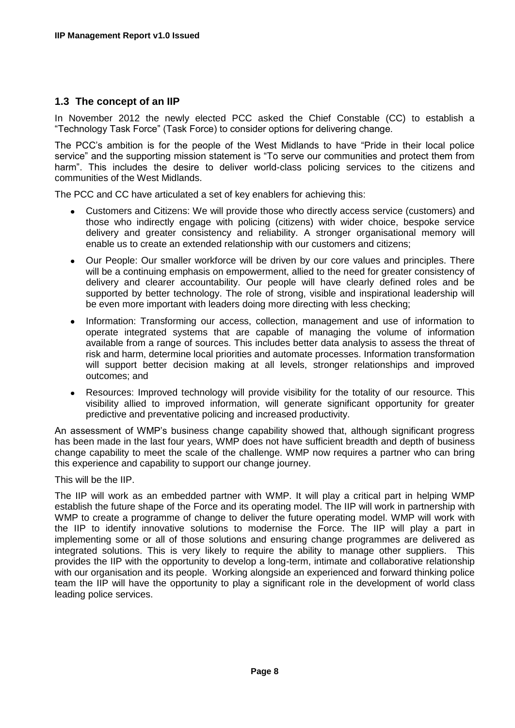#### <span id="page-7-0"></span>**1.3 The concept of an IIP**

In November 2012 the newly elected PCC asked the Chief Constable (CC) to establish a "Technology Task Force" (Task Force) to consider options for delivering change.

The PCC's ambition is for the people of the West Midlands to have "Pride in their local police service" and the supporting mission statement is "To serve our communities and protect them from harm". This includes the desire to deliver world-class policing services to the citizens and communities of the West Midlands.

The PCC and CC have articulated a set of key enablers for achieving this:

- $\bullet$ Customers and Citizens: We will provide those who directly access service (customers) and those who indirectly engage with policing (citizens) with wider choice, bespoke service delivery and greater consistency and reliability. A stronger organisational memory will enable us to create an extended relationship with our customers and citizens;
- Our People: Our smaller workforce will be driven by our core values and principles. There  $\bullet$ will be a continuing emphasis on empowerment, allied to the need for greater consistency of delivery and clearer accountability. Our people will have clearly defined roles and be supported by better technology. The role of strong, visible and inspirational leadership will be even more important with leaders doing more directing with less checking;
- Information: Transforming our access, collection, management and use of information to operate integrated systems that are capable of managing the volume of information available from a range of sources. This includes better data analysis to assess the threat of risk and harm, determine local priorities and automate processes. Information transformation will support better decision making at all levels, stronger relationships and improved outcomes; and
- Resources: Improved technology will provide visibility for the totality of our resource. This  $\bullet$ visibility allied to improved information, will generate significant opportunity for greater predictive and preventative policing and increased productivity.

An assessment of WMP's business change capability showed that, although significant progress has been made in the last four years, WMP does not have sufficient breadth and depth of business change capability to meet the scale of the challenge. WMP now requires a partner who can bring this experience and capability to support our change journey.

This will be the IIP.

The IIP will work as an embedded partner with WMP. It will play a critical part in helping WMP establish the future shape of the Force and its operating model. The IIP will work in partnership with WMP to create a programme of change to deliver the future operating model. WMP will work with the IIP to identify innovative solutions to modernise the Force. The IIP will play a part in implementing some or all of those solutions and ensuring change programmes are delivered as integrated solutions. This is very likely to require the ability to manage other suppliers. This provides the IIP with the opportunity to develop a long-term, intimate and collaborative relationship with our organisation and its people. Working alongside an experienced and forward thinking police team the IIP will have the opportunity to play a significant role in the development of world class leading police services.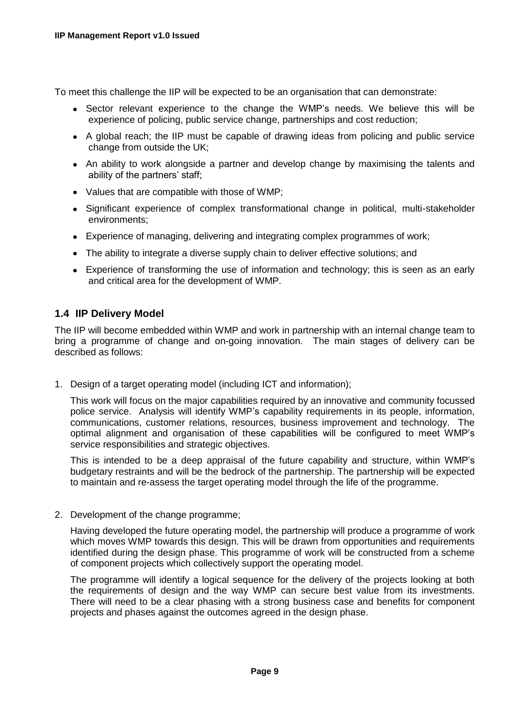To meet this challenge the IIP will be expected to be an organisation that can demonstrate:

- Sector relevant experience to the change the WMP's needs. We believe this will be experience of policing, public service change, partnerships and cost reduction;
- A global reach; the IIP must be capable of drawing ideas from policing and public service change from outside the UK;
- An ability to work alongside a partner and develop change by maximising the talents and ability of the partners' staff;
- Values that are compatible with those of WMP;
- Significant experience of complex transformational change in political, multi-stakeholder environments;
- Experience of managing, delivering and integrating complex programmes of work;
- The ability to integrate a diverse supply chain to deliver effective solutions; and
- Experience of transforming the use of information and technology; this is seen as an early and critical area for the development of WMP.

#### <span id="page-8-0"></span>**1.4 IIP Delivery Model**

The IIP will become embedded within WMP and work in partnership with an internal change team to bring a programme of change and on-going innovation. The main stages of delivery can be described as follows:

1. Design of a target operating model (including ICT and information);

This work will focus on the major capabilities required by an innovative and community focussed police service. Analysis will identify WMP's capability requirements in its people, information, communications, customer relations, resources, business improvement and technology. The optimal alignment and organisation of these capabilities will be configured to meet WMP's service responsibilities and strategic objectives.

This is intended to be a deep appraisal of the future capability and structure, within WMP's budgetary restraints and will be the bedrock of the partnership. The partnership will be expected to maintain and re-assess the target operating model through the life of the programme.

2. Development of the change programme;

Having developed the future operating model, the partnership will produce a programme of work which moves WMP towards this design. This will be drawn from opportunities and requirements identified during the design phase. This programme of work will be constructed from a scheme of component projects which collectively support the operating model.

The programme will identify a logical sequence for the delivery of the projects looking at both the requirements of design and the way WMP can secure best value from its investments. There will need to be a clear phasing with a strong business case and benefits for component projects and phases against the outcomes agreed in the design phase.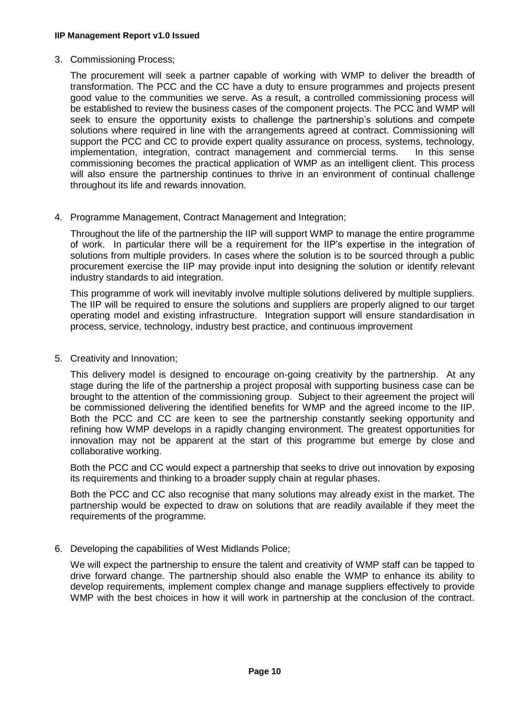3. Commissioning Process;

The procurement will seek a partner capable of working with WMP to deliver the breadth of transformation. The PCC and the CC have a duty to ensure programmes and projects present good value to the communities we serve. As a result, a controlled commissioning process will be established to review the business cases of the component projects. The PCC and WMP will seek to ensure the opportunity exists to challenge the partnership's solutions and compete solutions where required in line with the arrangements agreed at contract. Commissioning will support the PCC and CC to provide expert quality assurance on process, systems, technology, implementation, integration, contract management and commercial terms. In this sense commissioning becomes the practical application of WMP as an intelligent client. This process will also ensure the partnership continues to thrive in an environment of continual challenge throughout its life and rewards innovation.

4. Programme Management, Contract Management and Integration;

Throughout the life of the partnership the IIP will support WMP to manage the entire programme of work. In particular there will be a requirement for the IIP's expertise in the integration of solutions from multiple providers. In cases where the solution is to be sourced through a public procurement exercise the IIP may provide input into designing the solution or identify relevant industry standards to aid integration.

This programme of work will inevitably involve multiple solutions delivered by multiple suppliers. The IIP will be required to ensure the solutions and suppliers are properly aligned to our target operating model and existing infrastructure. Integration support will ensure standardisation in process, service, technology, industry best practice, and continuous improvement

5. Creativity and Innovation;

This delivery model is designed to encourage on-going creativity by the partnership. At any stage during the life of the partnership a project proposal with supporting business case can be brought to the attention of the commissioning group. Subject to their agreement the project will be commissioned delivering the identified benefits for WMP and the agreed income to the IIP. Both the PCC and CC are keen to see the partnership constantly seeking opportunity and refining how WMP develops in a rapidly changing environment. The greatest opportunities for innovation may not be apparent at the start of this programme but emerge by close and collaborative working.

Both the PCC and CC would expect a partnership that seeks to drive out innovation by exposing its requirements and thinking to a broader supply chain at regular phases.

Both the PCC and CC also recognise that many solutions may already exist in the market. The partnership would be expected to draw on solutions that are readily available if they meet the requirements of the programme.

6. Developing the capabilities of West Midlands Police;

We will expect the partnership to ensure the talent and creativity of WMP staff can be tapped to drive forward change. The partnership should also enable the WMP to enhance its ability to develop requirements, implement complex change and manage suppliers effectively to provide WMP with the best choices in how it will work in partnership at the conclusion of the contract.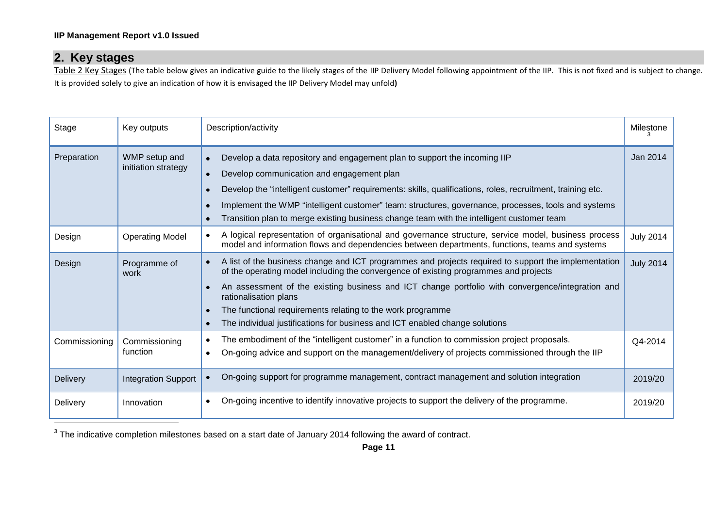# **2. Key stages**

Table 2 Key Stages (The table below gives an indicative guide to the likely stages of the IIP Delivery Model following appointment of the IIP. This is not fixed and is subject to change. It is provided solely to give an indication of how it is envisaged the IIP Delivery Model may unfold**)**

<span id="page-10-0"></span>

| Stage         | Key outputs                          | Description/activity                                                                                                                                                                                                                                                                                                                                                                                                                                                                | Milestone        |
|---------------|--------------------------------------|-------------------------------------------------------------------------------------------------------------------------------------------------------------------------------------------------------------------------------------------------------------------------------------------------------------------------------------------------------------------------------------------------------------------------------------------------------------------------------------|------------------|
| Preparation   | WMP setup and<br>initiation strategy | Develop a data repository and engagement plan to support the incoming IIP<br>Develop communication and engagement plan<br>Develop the "intelligent customer" requirements: skills, qualifications, roles, recruitment, training etc.<br>Implement the WMP "intelligent customer" team: structures, governance, processes, tools and systems<br>Transition plan to merge existing business change team with the intelligent customer team                                            | Jan 2014         |
| Design        | <b>Operating Model</b>               | A logical representation of organisational and governance structure, service model, business process<br>model and information flows and dependencies between departments, functions, teams and systems                                                                                                                                                                                                                                                                              | <b>July 2014</b> |
| Design        | Programme of<br>work                 | A list of the business change and ICT programmes and projects required to support the implementation<br>of the operating model including the convergence of existing programmes and projects<br>An assessment of the existing business and ICT change portfolio with convergence/integration and<br>rationalisation plans<br>The functional requirements relating to the work programme<br>The individual justifications for business and ICT enabled change solutions<br>$\bullet$ | <b>July 2014</b> |
| Commissioning | Commissioning<br>function            | The embodiment of the "intelligent customer" in a function to commission project proposals.<br>On-going advice and support on the management/delivery of projects commissioned through the IIP<br>$\bullet$                                                                                                                                                                                                                                                                         | Q4-2014          |
| Delivery      | <b>Integration Support</b>           | On-going support for programme management, contract management and solution integration                                                                                                                                                                                                                                                                                                                                                                                             | 2019/20          |
| Delivery      | Innovation                           | On-going incentive to identify innovative projects to support the delivery of the programme.                                                                                                                                                                                                                                                                                                                                                                                        | 2019/20          |

 $^3$  The indicative completion milestones based on a start date of January 2014 following the award of contract.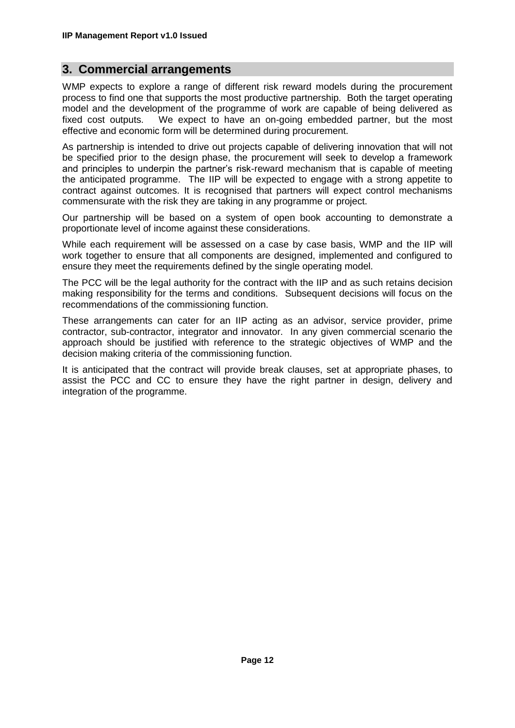# <span id="page-11-0"></span>**3. Commercial arrangements**

WMP expects to explore a range of different risk reward models during the procurement process to find one that supports the most productive partnership. Both the target operating model and the development of the programme of work are capable of being delivered as fixed cost outputs. We expect to have an on-going embedded partner, but the most effective and economic form will be determined during procurement.

As partnership is intended to drive out projects capable of delivering innovation that will not be specified prior to the design phase, the procurement will seek to develop a framework and principles to underpin the partner's risk-reward mechanism that is capable of meeting the anticipated programme. The IIP will be expected to engage with a strong appetite to contract against outcomes. It is recognised that partners will expect control mechanisms commensurate with the risk they are taking in any programme or project.

Our partnership will be based on a system of open book accounting to demonstrate a proportionate level of income against these considerations.

While each requirement will be assessed on a case by case basis, WMP and the IIP will work together to ensure that all components are designed, implemented and configured to ensure they meet the requirements defined by the single operating model.

The PCC will be the legal authority for the contract with the IIP and as such retains decision making responsibility for the terms and conditions. Subsequent decisions will focus on the recommendations of the commissioning function.

These arrangements can cater for an IIP acting as an advisor, service provider, prime contractor, sub-contractor, integrator and innovator. In any given commercial scenario the approach should be justified with reference to the strategic objectives of WMP and the decision making criteria of the commissioning function.

It is anticipated that the contract will provide break clauses, set at appropriate phases, to assist the PCC and CC to ensure they have the right partner in design, delivery and integration of the programme.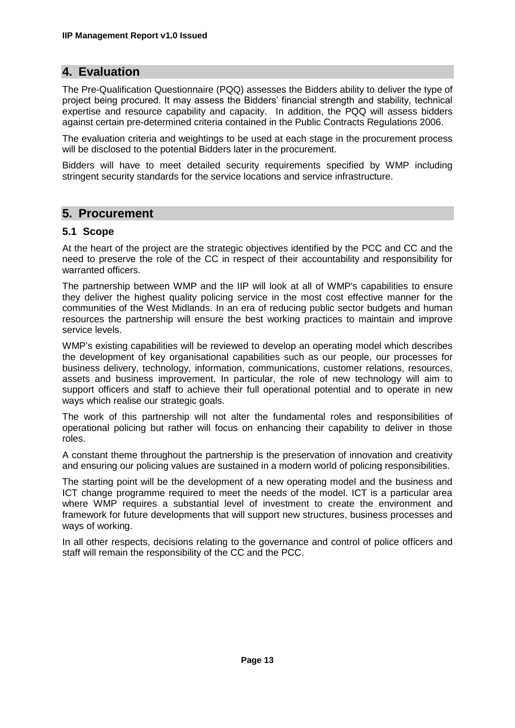# <span id="page-12-0"></span>**4. Evaluation**

The Pre-Qualification Questionnaire (PQQ) assesses the Bidders ability to deliver the type of project being procured. It may assess the Bidders' financial strength and stability, technical expertise and resource capability and capacity. In addition, the PQQ will assess bidders against certain pre-determined criteria contained in the Public Contracts Regulations 2006.

The evaluation criteria and weightings to be used at each stage in the procurement process will be disclosed to the potential Bidders later in the procurement.

Bidders will have to meet detailed security requirements specified by WMP including stringent security standards for the service locations and service infrastructure.

# <span id="page-12-1"></span>**5. Procurement**

#### <span id="page-12-2"></span>**5.1 Scope**

At the heart of the project are the strategic objectives identified by the PCC and CC and the need to preserve the role of the CC in respect of their accountability and responsibility for warranted officers.

The partnership between WMP and the IIP will look at all of WMP's capabilities to ensure they deliver the highest quality policing service in the most cost effective manner for the communities of the West Midlands. In an era of reducing public sector budgets and human resources the partnership will ensure the best working practices to maintain and improve service levels.

WMP's existing capabilities will be reviewed to develop an operating model which describes the development of key organisational capabilities such as our people, our processes for business delivery, technology, information, communications, customer relations, resources, assets and business improvement. In particular, the role of new technology will aim to support officers and staff to achieve their full operational potential and to operate in new ways which realise our strategic goals.

The work of this partnership will not alter the fundamental roles and responsibilities of operational policing but rather will focus on enhancing their capability to deliver in those roles.

A constant theme throughout the partnership is the preservation of innovation and creativity and ensuring our policing values are sustained in a modern world of policing responsibilities.

The starting point will be the development of a new operating model and the business and ICT change programme required to meet the needs of the model. ICT is a particular area where WMP requires a substantial level of investment to create the environment and framework for future developments that will support new structures, business processes and ways of working.

In all other respects, decisions relating to the governance and control of police officers and staff will remain the responsibility of the CC and the PCC.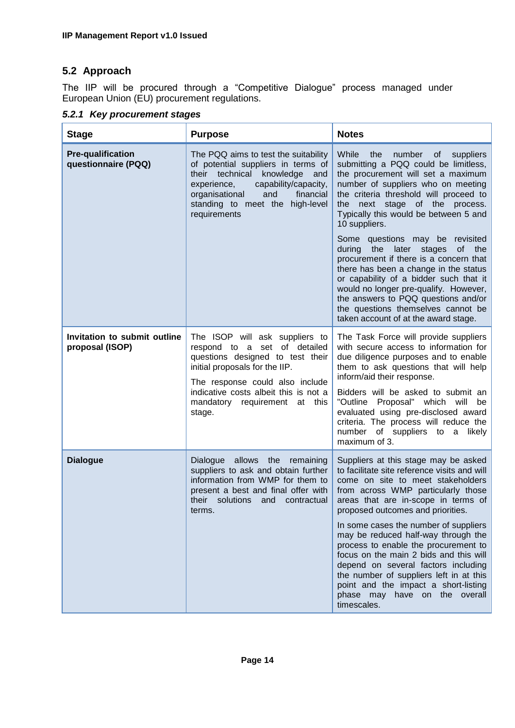# <span id="page-13-0"></span>**5.2 Approach**

The IIP will be procured through a "Competitive Dialogue" process managed under European Union (EU) procurement regulations.

<span id="page-13-1"></span>

|  |  | 5.2.1 Key procurement stages |  |
|--|--|------------------------------|--|
|--|--|------------------------------|--|

| <b>Stage</b>                                    | <b>Purpose</b>                                                                                                                                                                                                                                              | <b>Notes</b>                                                                                                                                                                                                                                                                                                                                                                                                                                                                                                                                                                                                                                                                         |
|-------------------------------------------------|-------------------------------------------------------------------------------------------------------------------------------------------------------------------------------------------------------------------------------------------------------------|--------------------------------------------------------------------------------------------------------------------------------------------------------------------------------------------------------------------------------------------------------------------------------------------------------------------------------------------------------------------------------------------------------------------------------------------------------------------------------------------------------------------------------------------------------------------------------------------------------------------------------------------------------------------------------------|
| <b>Pre-qualification</b><br>questionnaire (PQQ) | The PQQ aims to test the suitability<br>of potential suppliers in terms of<br>their technical<br>knowledge<br>and<br>experience,<br>capability/capacity,<br>organisational<br>and<br>financial<br>standing to meet the high-level<br>requirements           | While<br>the<br>number<br>of a<br>suppliers<br>submitting a PQQ could be limitless,<br>the procurement will set a maximum<br>number of suppliers who on meeting<br>the criteria threshold will proceed to<br>the next stage of the process.<br>Typically this would be between 5 and<br>10 suppliers.<br>Some questions may be revisited<br>the<br>during<br>later<br>0f<br>the<br>stages<br>procurement if there is a concern that<br>there has been a change in the status<br>or capability of a bidder such that it<br>would no longer pre-qualify. However,<br>the answers to PQQ questions and/or<br>the questions themselves cannot be<br>taken account of at the award stage. |
| Invitation to submit outline<br>proposal (ISOP) | The ISOP will ask suppliers to<br>respond to a set of detailed<br>questions designed to test their<br>initial proposals for the IIP.<br>The response could also include<br>indicative costs albeit this is not a<br>mandatory requirement at this<br>stage. | The Task Force will provide suppliers<br>with secure access to information for<br>due diligence purposes and to enable<br>them to ask questions that will help<br>inform/aid their response.<br>Bidders will be asked to submit an<br>"Outline Proposal" which will<br>be<br>evaluated using pre-disclosed award<br>criteria. The process will reduce the<br>number of suppliers to a likely<br>maximum of 3.                                                                                                                                                                                                                                                                        |
| <b>Dialogue</b>                                 | Dialogue allows the remaining<br>suppliers to ask and obtain further<br>information from WMP for them to<br>present a best and final offer with<br>their solutions and contractual<br>terms.                                                                | Suppliers at this stage may be asked<br>to facilitate site reference visits and will<br>come on site to meet stakeholders<br>from across WMP particularly those<br>areas that are in-scope in terms of<br>proposed outcomes and priorities.<br>In some cases the number of suppliers<br>may be reduced half-way through the<br>process to enable the procurement to<br>focus on the main 2 bids and this will<br>depend on several factors including<br>the number of suppliers left in at this<br>point and the impact a short-listing<br>phase may have on the overall<br>timescales.                                                                                              |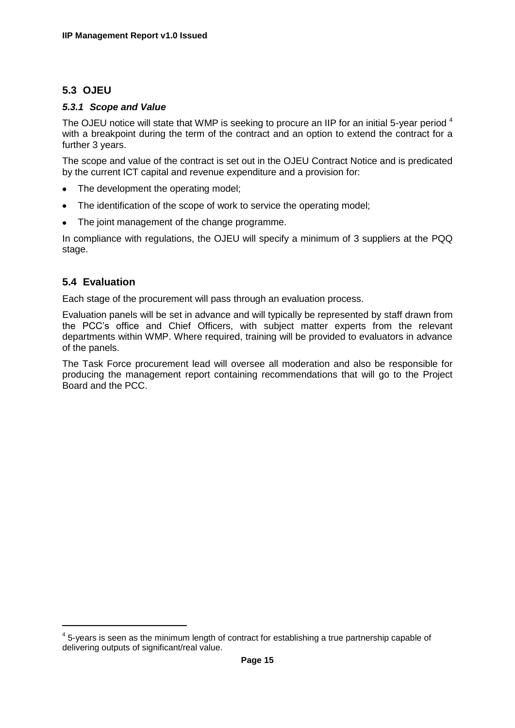# <span id="page-14-0"></span>**5.3 OJEU**

#### <span id="page-14-1"></span>*5.3.1 Scope and Value*

The OJEU notice will state that WMP is seeking to procure an IIP for an initial 5-year period <sup>4</sup> with a breakpoint during the term of the contract and an option to extend the contract for a further 3 years.

The scope and value of the contract is set out in the OJEU Contract Notice and is predicated by the current ICT capital and revenue expenditure and a provision for:

- The development the operating model;  $\bullet$
- The identification of the scope of work to service the operating model;
- The joint management of the change programme.  $\bullet$

In compliance with regulations, the OJEU will specify a minimum of 3 suppliers at the PQQ stage.

# <span id="page-14-2"></span>**5.4 Evaluation**

**.** 

Each stage of the procurement will pass through an evaluation process.

Evaluation panels will be set in advance and will typically be represented by staff drawn from the PCC's office and Chief Officers, with subject matter experts from the relevant departments within WMP. Where required, training will be provided to evaluators in advance of the panels.

The Task Force procurement lead will oversee all moderation and also be responsible for producing the management report containing recommendations that will go to the Project Board and the PCC.

 $<sup>4</sup>$  5-years is seen as the minimum length of contract for establishing a true partnership capable of</sup> delivering outputs of significant/real value.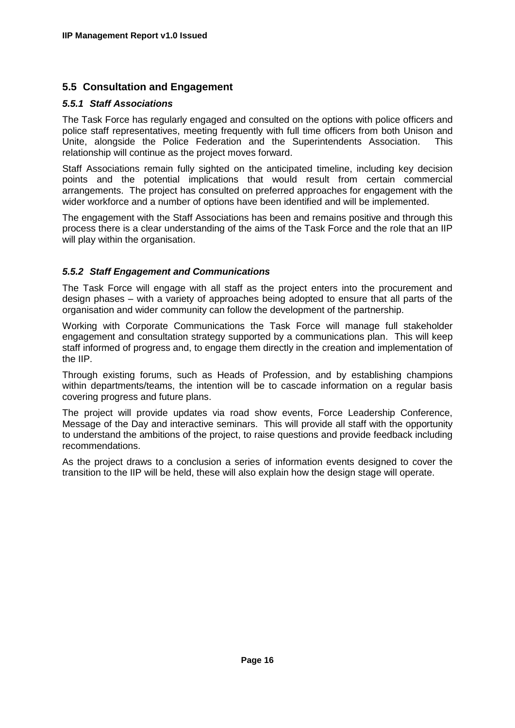#### <span id="page-15-0"></span>**5.5 Consultation and Engagement**

#### <span id="page-15-1"></span>*5.5.1 Staff Associations*

The Task Force has regularly engaged and consulted on the options with police officers and police staff representatives, meeting frequently with full time officers from both Unison and Unite, alongside the Police Federation and the Superintendents Association. This relationship will continue as the project moves forward.

Staff Associations remain fully sighted on the anticipated timeline, including key decision points and the potential implications that would result from certain commercial arrangements. The project has consulted on preferred approaches for engagement with the wider workforce and a number of options have been identified and will be implemented.

The engagement with the Staff Associations has been and remains positive and through this process there is a clear understanding of the aims of the Task Force and the role that an IIP will play within the organisation.

#### <span id="page-15-2"></span>*5.5.2 Staff Engagement and Communications*

The Task Force will engage with all staff as the project enters into the procurement and design phases – with a variety of approaches being adopted to ensure that all parts of the organisation and wider community can follow the development of the partnership.

Working with Corporate Communications the Task Force will manage full stakeholder engagement and consultation strategy supported by a communications plan. This will keep staff informed of progress and, to engage them directly in the creation and implementation of the IIP.

Through existing forums, such as Heads of Profession, and by establishing champions within departments/teams, the intention will be to cascade information on a regular basis covering progress and future plans.

The project will provide updates via road show events, Force Leadership Conference, Message of the Day and interactive seminars. This will provide all staff with the opportunity to understand the ambitions of the project, to raise questions and provide feedback including recommendations.

As the project draws to a conclusion a series of information events designed to cover the transition to the IIP will be held, these will also explain how the design stage will operate.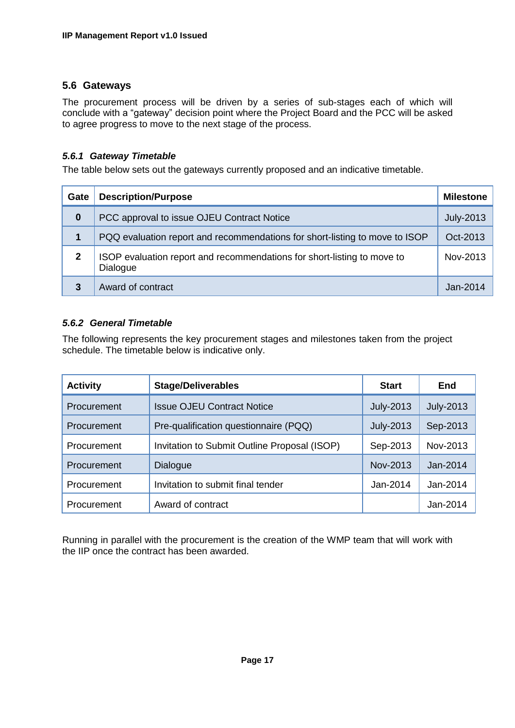#### <span id="page-16-0"></span>**5.6 Gateways**

The procurement process will be driven by a series of sub-stages each of which will conclude with a "gateway" decision point where the Project Board and the PCC will be asked to agree progress to move to the next stage of the process.

#### <span id="page-16-1"></span>*5.6.1 Gateway Timetable*

The table below sets out the gateways currently proposed and an indicative timetable.

| Gate         | <b>Description/Purpose</b>                                                          | <b>Milestone</b> |
|--------------|-------------------------------------------------------------------------------------|------------------|
| $\bf{0}$     | PCC approval to issue OJEU Contract Notice                                          | <b>July-2013</b> |
| 1            | PQQ evaluation report and recommendations for short-listing to move to ISOP         | Oct-2013         |
| $\mathbf{2}$ | ISOP evaluation report and recommendations for short-listing to move to<br>Dialogue | Nov-2013         |
| 3            | Award of contract                                                                   | $Jan-2014$       |

#### <span id="page-16-2"></span>*5.6.2 General Timetable*

The following represents the key procurement stages and milestones taken from the project schedule. The timetable below is indicative only.

| <b>Activity</b> | <b>Stage/Deliverables</b>                    | <b>Start</b>     | End              |
|-----------------|----------------------------------------------|------------------|------------------|
| Procurement     | <b>Issue OJEU Contract Notice</b>            | <b>July-2013</b> | <b>July-2013</b> |
| Procurement     | Pre-qualification questionnaire (PQQ)        | <b>July-2013</b> | Sep-2013         |
| Procurement     | Invitation to Submit Outline Proposal (ISOP) | Sep-2013         | Nov-2013         |
| Procurement     | Dialogue                                     | Nov-2013         | Jan-2014         |
| Procurement     | Invitation to submit final tender            | Jan-2014         | Jan-2014         |
| Procurement     | Award of contract                            |                  | Jan-2014         |

Running in parallel with the procurement is the creation of the WMP team that will work with the IIP once the contract has been awarded.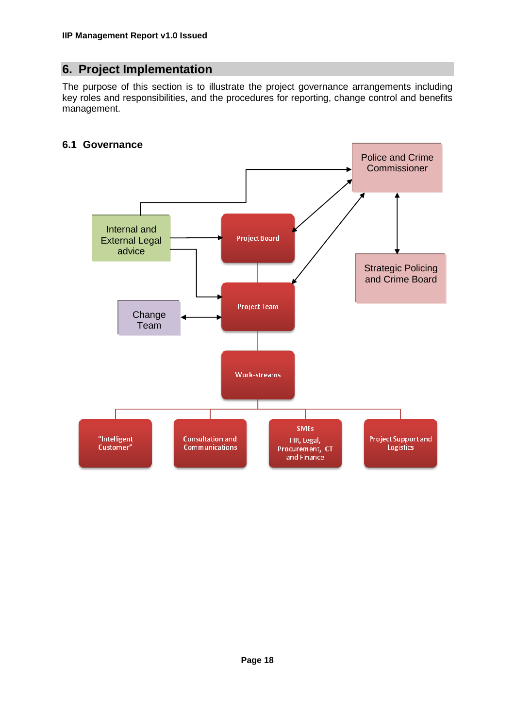# <span id="page-17-0"></span>**6. Project Implementation**

The purpose of this section is to illustrate the project governance arrangements including key roles and responsibilities, and the procedures for reporting, change control and benefits management.

# <span id="page-17-1"></span>**6.1 Governance**

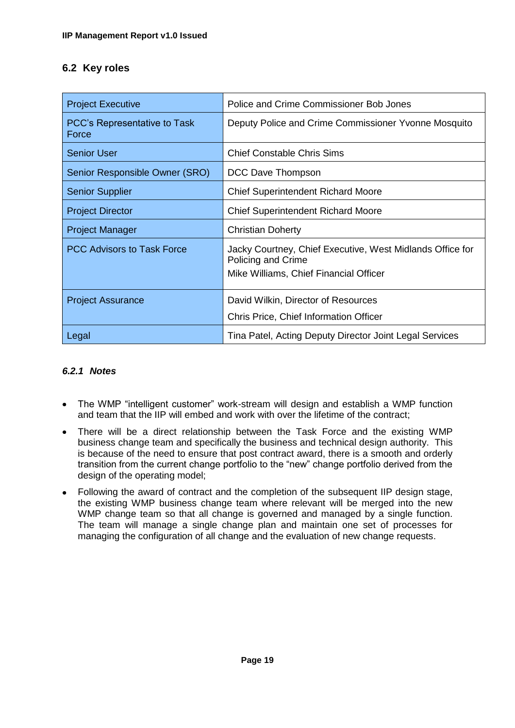# <span id="page-18-0"></span>**6.2 Key roles**

| <b>Project Executive</b>                     | Police and Crime Commissioner Bob Jones                                                                                   |  |
|----------------------------------------------|---------------------------------------------------------------------------------------------------------------------------|--|
| <b>PCC's Representative to Task</b><br>Force | Deputy Police and Crime Commissioner Yvonne Mosquito                                                                      |  |
| <b>Senior User</b>                           | <b>Chief Constable Chris Sims</b>                                                                                         |  |
| Senior Responsible Owner (SRO)               | DCC Dave Thompson                                                                                                         |  |
| <b>Senior Supplier</b>                       | <b>Chief Superintendent Richard Moore</b>                                                                                 |  |
| <b>Project Director</b>                      | <b>Chief Superintendent Richard Moore</b>                                                                                 |  |
| <b>Project Manager</b>                       | <b>Christian Doherty</b>                                                                                                  |  |
| <b>PCC Advisors to Task Force</b>            | Jacky Courtney, Chief Executive, West Midlands Office for<br>Policing and Crime<br>Mike Williams, Chief Financial Officer |  |
| <b>Project Assurance</b>                     | David Wilkin, Director of Resources<br>Chris Price, Chief Information Officer                                             |  |
| Legal                                        | Tina Patel, Acting Deputy Director Joint Legal Services                                                                   |  |

#### <span id="page-18-1"></span>*6.2.1 Notes*

- The WMP "intelligent customer" work-stream will design and establish a WMP function and team that the IIP will embed and work with over the lifetime of the contract;
- There will be a direct relationship between the Task Force and the existing WMP business change team and specifically the business and technical design authority. This is because of the need to ensure that post contract award, there is a smooth and orderly transition from the current change portfolio to the "new" change portfolio derived from the design of the operating model;
- Following the award of contract and the completion of the subsequent IIP design stage, the existing WMP business change team where relevant will be merged into the new WMP change team so that all change is governed and managed by a single function. The team will manage a single change plan and maintain one set of processes for managing the configuration of all change and the evaluation of new change requests.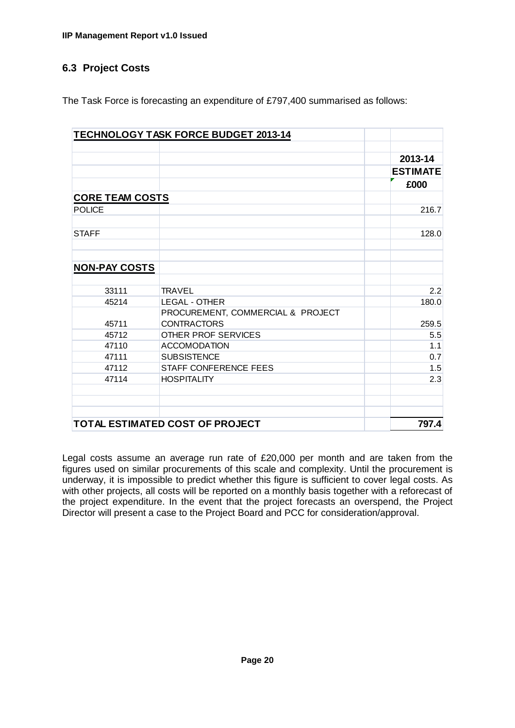# <span id="page-19-0"></span>**6.3 Project Costs**

The Task Force is forecasting an expenditure of £797,400 summarised as follows:

|                                 | <b>TECHNOLOGY TASK FORCE BUDGET 2013-14</b>             |                            |
|---------------------------------|---------------------------------------------------------|----------------------------|
|                                 |                                                         | 2013-14<br><b>ESTIMATE</b> |
|                                 |                                                         | £000                       |
| <b>CORE TEAM COSTS</b>          |                                                         |                            |
| <b>POLICE</b>                   |                                                         | 216.7                      |
|                                 |                                                         |                            |
| <b>STAFF</b>                    |                                                         | 128.0                      |
|                                 |                                                         |                            |
| <b>NON-PAY COSTS</b>            |                                                         |                            |
|                                 |                                                         |                            |
| 33111                           | <b>TRAVEL</b>                                           | 2.2                        |
| 45214                           | <b>LEGAL - OTHER</b>                                    | 180.0                      |
| 45711                           | PROCUREMENT, COMMERCIAL & PROJECT<br><b>CONTRACTORS</b> | 259.5                      |
| 45712                           | OTHER PROF SERVICES                                     | 5.5                        |
| 47110                           | <b>ACCOMODATION</b>                                     | 1.1                        |
| 47111                           | <b>SUBSISTENCE</b>                                      | 0.7                        |
| 47112                           | STAFF CONFERENCE FEES                                   | 1.5                        |
| 47114                           | <b>HOSPITALITY</b>                                      | 2.3                        |
|                                 |                                                         |                            |
| TOTAL ESTIMATED COST OF PROJECT |                                                         | 797.4                      |

Legal costs assume an average run rate of £20,000 per month and are taken from the figures used on similar procurements of this scale and complexity. Until the procurement is underway, it is impossible to predict whether this figure is sufficient to cover legal costs. As with other projects, all costs will be reported on a monthly basis together with a reforecast of the project expenditure. In the event that the project forecasts an overspend, the Project Director will present a case to the Project Board and PCC for consideration/approval.